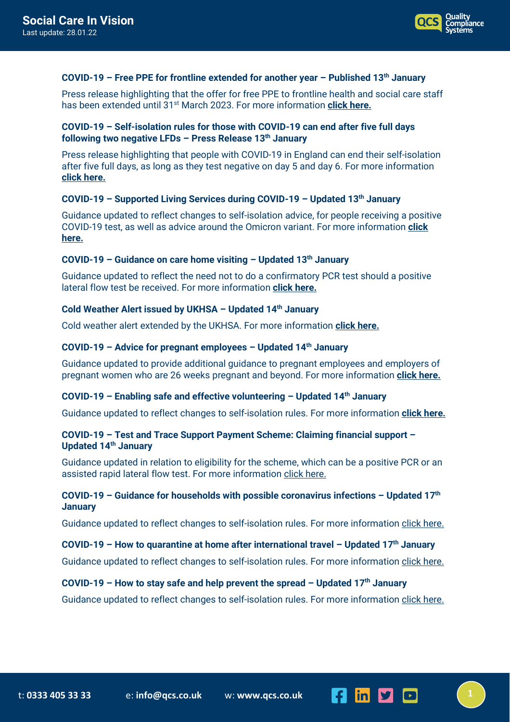

#### **COVID-19 – Free PPE for frontline extended for another year – Published 13th January**

Press release highlighting that the offer for free PPE to frontline health and social care staff has been extended until 31st March 2023. For more information **[click here.](https://www.gov.uk/government/news/free-ppe-for-frontline-extended-for-another-year?utm_medium=email&utm_campaign=govuk-notifications-topic&utm_source=a18a2993-9b6d-445b-a467-53ef7a30abc3&utm_content=immediately)**

### **COVID-19 – Self-isolation rules for those with COVID-19 can end after five full days following two negative LFDs – Press Release 13th January**

Press release highlighting that people with COVID-19 in England can end their self-isolation after five full days, as long as they test negative on day 5 and day 6. For more information **[click here.](https://www.gov.uk/government/news/self-isolation-for-those-with-covid-19-can-end-after-five-full-days-following-two-negative-lfd-tests?utm_medium=email&utm_campaign=govuk-notifications-topic&utm_source=3dec7d97-e4bc-4a69-8fd3-3ab479721a16&utm_content=immediately)**

#### **COVID-19 – Supported Living Services during COVID-19 – Updated 13th January**

Guidance updated to reflect changes to self-isolation advice, for people receiving a positive COVID-19 test, as well as advice around the Omicron variant. For more information **[click](https://www.gov.uk/government/publications/supported-living-services-during-coronavirus-covid-19?utm_medium=email&utm_campaign=govuk-notifications-topic&utm_source=04e50187-3981-414d-b416-891739e7916a&utm_content=immediately)  [here.](https://www.gov.uk/government/publications/supported-living-services-during-coronavirus-covid-19?utm_medium=email&utm_campaign=govuk-notifications-topic&utm_source=04e50187-3981-414d-b416-891739e7916a&utm_content=immediately)**

### **COVID-19 – Guidance on care home visiting – Updated 13th January**

Guidance updated to reflect the need not to do a confirmatory PCR test should a positive lateral flow test be received. For more information **[click here.](https://www.gov.uk/government/publications/visiting-care-homes-during-coronavirus/update-on-policies-for-visiting-arrangements-in-care-homes)**

### **Cold Weather Alert issued by UKHSA – Updated 14th January**

Cold weather alert extended by the UKHSA. For more information **[click here.](https://www.gov.uk/government/news/cold-weather-alert-issued-by-ukhsa?utm_medium=email&utm_campaign=govuk-notifications-topic&utm_source=6b292b46-3a80-4402-9f8a-fddef85b5b6b&utm_content=immediately)**

#### **COVID-19 – Advice for pregnant employees – Updated 14th January**

Guidance updated to provide additional guidance to pregnant employees and employers of pregnant women who are 26 weeks pregnant and beyond. For more information **[click here.](https://www.gov.uk/government/publications/coronavirus-covid-19-advice-for-pregnant-employees?utm_medium=email&utm_campaign=govuk-notifications-topic&utm_source=ca2998b4-e4d1-4563-8fa0-67ba2e9ee44a&utm_content=immediately)**

#### **COVID-19 – Enabling safe and effective volunteering – Updated 14th January**

Guidance updated to reflect changes to self-isolation rules. For more information **[click here.](https://www.gov.uk/guidance/enabling-safe-and-effective-volunteering-during-coronavirus-covid-19?utm_medium=email&utm_campaign=govuk-notifications-topic&utm_source=e3c1513c-36ed-4238-b1d7-c0bce1e4d827&utm_content=immediately)**

### **COVID-19 – Test and Trace Support Payment Scheme: Claiming financial support – Updated 14th January**

Guidance updated in relation to eligibility for the scheme, which can be a positive PCR or an assisted rapid lateral flow test. For more information [click here.](https://www.gov.uk/government/publications/test-and-trace-support-payment-scheme-claiming-financial-support?utm_medium=email&utm_campaign=govuk-notifications-topic&utm_source=f2668f41-654d-4b42-a0d3-02ab03e84fc2&utm_content=immediately)

### **COVID-19 – Guidance for households with possible coronavirus infections – Updated 17th January**

Guidance updated to reflect changes to self-isolation rules. For more informatio[n click here.](https://www.gov.uk/government/publications/covid-19-stay-at-home-guidance?utm_medium=email&utm_campaign=govuk-notifications-topic&utm_source=a02678fd-62d2-4156-a4dc-2953b0ec19d8&utm_content=immediately)

### **COVID-19 – How to quarantine at home after international travel – Updated 17th January**

Guidance updated to reflect changes to self-isolation rules. For more informatio[n click here.](https://www.gov.uk/guidance/how-to-quarantine-when-you-arrive-in-england?utm_medium=email&utm_campaign=govuk-notifications-topic&utm_source=559eea79-e7f9-475c-8245-698f06dd33fc&utm_content=immediately)

### **COVID-19 – How to stay safe and help prevent the spread – Updated 17th January**

Guidance updated to reflect changes to self-isolation rules. For more informatio[n click here.](https://www.gov.uk/guidance/covid-19-coronavirus-restrictions-what-you-can-and-cannot-do?utm_medium=email&utm_campaign=govuk-notifications-topic&utm_source=d99fd0ee-0ece-4dd6-911c-19b72e256436&utm_content=immediately)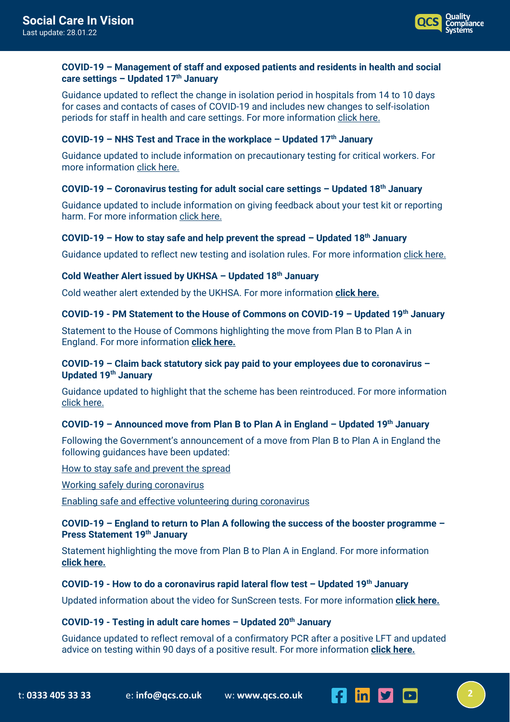

# **COVID-19 – Management of staff and exposed patients and residents in health and social care settings – Updated 17th January**

Guidance updated to reflect the change in isolation period in hospitals from 14 to 10 days for cases and contacts of cases of COVID-19 and includes new changes to self-isolation periods for staff in health and care settings. For more information [click here.](https://www.gov.uk/government/publications/covid-19-management-of-exposed-healthcare-workers-and-patients-in-hospital-settings?utm_medium=email&utm_campaign=govuk-notifications-topic&utm_source=013398ad-e4b5-4600-893a-1047fc763b4c&utm_content=immediately)

# **COVID-19 – NHS Test and Trace in the workplace – Updated 17th January**

Guidance updated to include information on precautionary testing for critical workers. For more informatio[n click here.](https://www.gov.uk/guidance/nhs-test-and-trace-workplace-guidance?utm_medium=email&utm_campaign=govuk-notifications-topic&utm_source=83ef2901-b924-4543-93bb-eead8ebe5d56&utm_content=immediately)

## **COVID-19 – Coronavirus testing for adult social care settings – Updated 18th January**

Guidance updated to include information on giving feedback about your test kit or reporting harm. For more information [click here.](https://www.gov.uk/government/publications/coronavirus-covid-19-testing-for-adult-social-care-settings?utm_medium=email&utm_campaign=govuk-notifications-topic&utm_source=86c9fd78-e981-4a1c-b168-e0243d096ff6&utm_content=immediately)

## **COVID-19 – How to stay safe and help prevent the spread – Updated 18th January**

Guidance updated to reflect new testing and isolation rules. For more information [click here.](https://www.gov.uk/guidance/covid-19-coronavirus-restrictions-what-you-can-and-cannot-do?utm_medium=email&utm_campaign=govuk-notifications-topic&utm_source=5ff232a8-0234-47da-9ae1-34000ec84eca&utm_content=immediately)

# **Cold Weather Alert issued by UKHSA – Updated 18th January**

Cold weather alert extended by the UKHSA. For more information **[click here.](https://www.gov.uk/government/news/cold-weather-alert-issued-by-ukhsa?utm_medium=email&utm_campaign=govuk-notifications-topic&utm_source=7385b9d1-4180-4c72-be75-ad0c15d49d96&utm_content=immediately)**

# **COVID-19 - PM Statement to the House of Commons on COVID-19 – Updated 19th January**

Statement to the House of Commons highlighting the move from Plan B to Plan A in England. For more information **[click here.](https://www.gov.uk/government/speeches/pm-statement-to-the-house-of-commons-on-covid-19-19-january-2022?utm_medium=email&utm_campaign=govuk-notifications-topic&utm_source=601dfed1-62a5-4e2c-901b-82be0bdee595&utm_content=immediately)**

## **COVID-19 – Claim back statutory sick pay paid to your employees due to coronavirus – Updated 19th January**

Guidance updated to highlight that the scheme has been reintroduced. For more information click [here.](https://www.gov.uk/guidance/claim-back-statutory-sick-pay-paid-to-your-employees-due-to-coronavirus-covid-19?utm_medium=email&utm_campaign=govuk-notifications-topic&utm_source=d0d13e4a-59b8-4aab-8f48-b0e49f9d2fc8&utm_content=immediately)

## **COVID-19 – Announced move from Plan B to Plan A in England – Updated 19th January**

Following the Government's announcement of a move from Plan B to Plan A in England the following guidances have been updated:

[How to stay safe and prevent the spread](https://www.gov.uk/guidance/covid-19-coronavirus-restrictions-what-you-can-and-cannot-do?utm_medium=email&utm_campaign=govuk-notifications-topic&utm_source=2eef1354-d59c-4ede-a802-9ad690f13b74&utm_content=immediately)

[Working safely during coronavirus](https://www.gov.uk/guidance/working-safely-during-covid-19?utm_medium=email&utm_campaign=govuk-notifications-topic&utm_source=abbeb822-34b6-433c-bb6d-df69dae992d3&utm_content=immediately)

[Enabling safe and effective volunteering during coronavirus](https://www.gov.uk/guidance/enabling-safe-and-effective-volunteering-during-coronavirus-covid-19?utm_medium=email&utm_campaign=govuk-notifications-topic&utm_source=9a3da9ea-a314-4abc-bea2-802d860dd798&utm_content=immediately)

## **COVID-19 – England to return to Plan A following the success of the booster programme – Press Statement 19th January**

Statement highlighting the move from Plan B to Plan A in England. For more information **[click here.](https://www.gov.uk/government/news/england-to-return-to-plan-a-following-the-success-of-the-booster-programme?utm_medium=email&utm_campaign=govuk-notifications-topic&utm_source=202f6e72-caa4-4bb8-b696-522c1a041112&utm_content=immediately)**

#### **COVID-19 - How to do a coronavirus rapid lateral flow test – Updated 19th January**

Updated information about the video for SunScreen tests. For more information **[click here.](https://www.gov.uk/guidance/covid-19-self-test-help?utm_medium=email&utm_campaign=govuk-notifications-topic&utm_source=af8c2eca-5359-4ada-b9ae-c0a0a9a9ac99&utm_content=immediately#full-publication-update-history)**

# **COVID-19 - Testing in adult care homes – Updated 20th January**

Guidance updated to reflect removal of a confirmatory PCR after a positive LFT and updated advice on testing within 90 days of a positive result. For more information **[click here.](https://www.gov.uk/government/publications/coronavirus-covid-19-testing-in-adult-care-homes?utm_medium=email&utm_campaign=govuk-notifications-topic&utm_source=ee06a3d6-a54a-407b-a854-72a8ba2e9f92&utm_content=immediately#full-publication-update-history)**

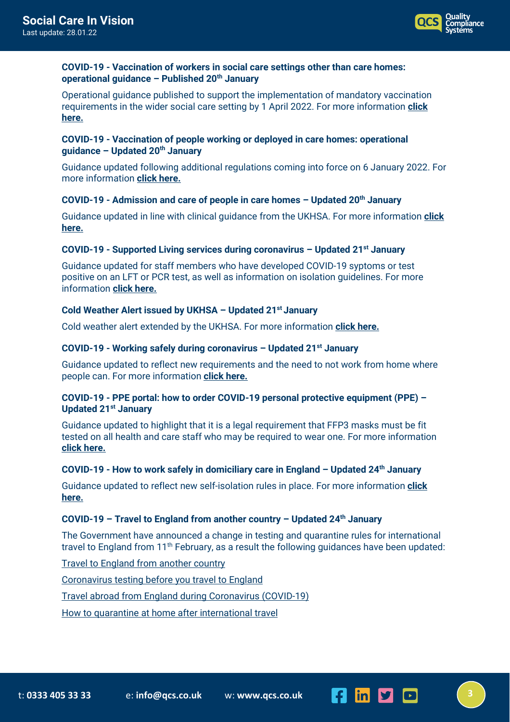

## **COVID-19 - Vaccination of workers in social care settings other than care homes: operational guidance – Published 20th January**

Operational guidance published to support the implementation of mandatory vaccination requirements in the wider social care setting by 1 April 2022. For more information **[click](https://www.gov.uk/government/publications/vaccination-of-workers-in-social-care-settings-other-than-care-homes-operational-guidance?utm_medium=email&utm_campaign=govuk-notifications-topic&utm_source=5a3b676f-c951-4b33-b5f8-2233f24a4176&utm_content=immediately)  [here.](https://www.gov.uk/government/publications/vaccination-of-workers-in-social-care-settings-other-than-care-homes-operational-guidance?utm_medium=email&utm_campaign=govuk-notifications-topic&utm_source=5a3b676f-c951-4b33-b5f8-2233f24a4176&utm_content=immediately)**

# **COVID-19 - Vaccination of people working or deployed in care homes: operational guidance – Updated 20th January**

Guidance updated following additional regulations coming into force on 6 January 2022. For more information **[click here.](https://www.gov.uk/government/publications/vaccination-of-people-working-or-deployed-in-care-homes-operational-guidance?utm_medium=email&utm_campaign=govuk-notifications-topic&utm_source=03c5d6c2-8717-49a1-a476-ded9e2e05383&utm_content=immediately)**

## **COVID-19 - Admission and care of people in care homes – Updated 20th January**

Guidance updated in line with clinical guidance from the UKHSA. For more information **[click](https://www.gov.uk/government/publications/coronavirus-covid-19-admission-and-care-of-people-in-care-homes?utm_medium=email&utm_campaign=govuk-notifications-topic&utm_source=372d42d6-34cd-4947-8546-02ef31033d90&utm_content=immediately)  [here.](https://www.gov.uk/government/publications/coronavirus-covid-19-admission-and-care-of-people-in-care-homes?utm_medium=email&utm_campaign=govuk-notifications-topic&utm_source=372d42d6-34cd-4947-8546-02ef31033d90&utm_content=immediately)**

## **COVID-19 - Supported Living services during coronavirus – Updated 21st January**

Guidance updated for staff members who have developed COVID-19 syptoms or test positive on an LFT or PCR test, as well as information on isolation guidelines. For more information **[click here.](https://www.gov.uk/government/publications/supported-living-services-during-coronavirus-covid-19?utm_medium=email&utm_campaign=govuk-notifications-topic&utm_source=750c114a-042d-4226-8691-7695dda97fa1&utm_content=immediately)**

# **Cold Weather Alert issued by UKHSA – Updated 21st January**

Cold weather alert extended by the UKHSA. For more information **[click here.](https://www.gov.uk/government/news/cold-weather-alert-issued-by-ukhsa?utm_medium=email&utm_campaign=govuk-notifications-topic&utm_source=f85e3a25-5852-42b9-967d-bf0b7e3a9b37&utm_content=immediately)**

## **COVID-19 - Working safely during coronavirus – Updated 21st January**

Guidance updated to reflect new requirements and the need to not work from home where people can. For more information **[click here.](https://www.gov.uk/guidance/working-safely-during-covid-19?utm_medium=email&utm_campaign=govuk-notifications-topic&utm_source=6f93b0f8-17b0-42fb-990a-6e65291554fa&utm_content=immediately)**

## **COVID-19 - PPE portal: how to order COVID-19 personal protective equipment (PPE) – Updated 21st January**

Guidance updated to highlight that it is a legal requirement that FFP3 masks must be fit tested on all health and care staff who may be required to wear one. For more information **[click here.](https://www.gov.uk/guidance/ppe-portal-how-to-order-covid-19-personal-protective-equipment?utm_medium=email&utm_campaign=govuk-notifications-topic&utm_source=c74fdf95-24c7-471a-9cca-d63a8b4553a5&utm_content=immediately)**

## **COVID-19 - How to work safely in domiciliary care in England – Updated 24th January**

Guidance updated to reflect new self-isolation rules in place. For more information **[click](https://www.gov.uk/government/publications/covid-19-how-to-work-safely-in-domiciliary-care?utm_medium=email&utm_campaign=govuk-notifications-topic&utm_source=15fa89cd-adc5-48af-a3e5-4f3189e6f46b&utm_content=immediately)  [here.](https://www.gov.uk/government/publications/covid-19-how-to-work-safely-in-domiciliary-care?utm_medium=email&utm_campaign=govuk-notifications-topic&utm_source=15fa89cd-adc5-48af-a3e5-4f3189e6f46b&utm_content=immediately)**

## **COVID-19 – Travel to England from another country – Updated 24th January**

The Government have announced a change in testing and quarantine rules for international travel to England from  $11<sup>th</sup>$  February, as a result the following guidances have been updated:

[Travel to England from another country](https://www.gov.uk/guidance/travel-to-england-from-another-country-during-coronavirus-covid-19?utm_medium=email&utm_campaign=govuk-notifications-topic&utm_source=840a025d-6b04-45c4-bf2d-d2c46d9457e2&utm_content=immediately#full-publication-update-history)

[Coronavirus testing before you travel to England](https://www.gov.uk/guidance/coronavirus-covid-19-testing-for-people-travelling-to-england?utm_medium=email&utm_campaign=govuk-notifications-topic&utm_source=2e8be887-941f-4fa7-a4c5-469e9ed5a6a2&utm_content=immediately)

[Travel abroad from England during Coronavirus \(COVID-19\)](https://www.gov.uk/guidance/travel-abroad-from-england-during-coronavirus-covid-19?utm_medium=email&utm_campaign=govuk-notifications-topic&utm_source=e493cc80-11b7-463d-a27f-fa47a079d4f2&utm_content=immediately)

[How to quarantine at home after international travel](https://www.gov.uk/guidance/how-to-quarantine-when-you-arrive-in-england?utm_medium=email&utm_campaign=govuk-notifications-topic&utm_source=fb5f5175-8e3b-46cf-b735-baa31b37bd09&utm_content=immediately)